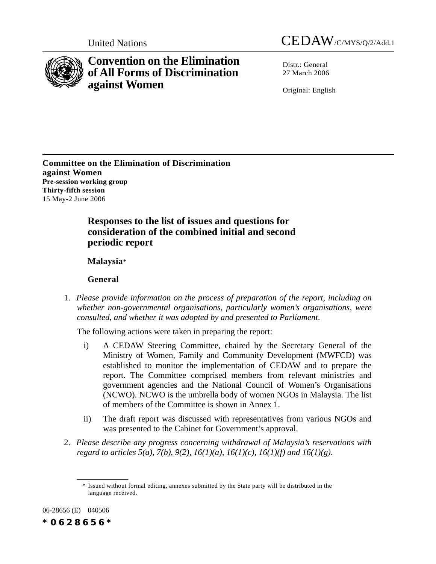



# **Convention on the Elimination of All Forms of Discrimination against Women**

Distr · General 27 March 2006

Original: English

**Committee on the Elimination of Discrimination against Women Pre-session working group Thirty-fifth session** 15 May-2 June 2006

> **Responses to the list of issues and questions for consideration of the combined initial and second periodic report**

**Malaysia**\*

**General**

1. *Please provide information on the process of preparation of the report, including on whether non-governmental organisations, particularly women's organisations, were consulted, and whether it was adopted by and presented to Parliament*.

The following actions were taken in preparing the report:

- i) A CEDAW Steering Committee, chaired by the Secretary General of the Ministry of Women, Family and Community Development (MWFCD) was established to monitor the implementation of CEDAW and to prepare the report. The Committee comprised members from relevant ministries and government agencies and the National Council of Women's Organisations (NCWO). NCWO is the umbrella body of women NGOs in Malaysia. The list of members of the Committee is shown in Annex 1.
- ii) The draft report was discussed with representatives from various NGOs and was presented to the Cabinet for Government's approval.
- 2. *Please describe any progress concerning withdrawal of Malaysia's reservations with regard to articles 5(a), 7(b), 9(2), 16(1)(a), 16(1)(c), 16(1)(f) and 16(1)(g)*.

06-28656 (E) 040506

*\*0628656\**

<sup>\*</sup> Issued without formal editing, annexes submitted by the State party will be distributed in the language received.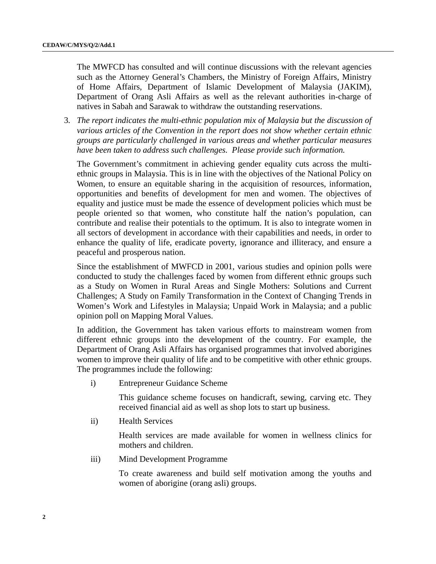The MWFCD has consulted and will continue discussions with the relevant agencies such as the Attorney General's Chambers, the Ministry of Foreign Affairs, Ministry of Home Affairs, Department of Islamic Development of Malaysia (JAKIM), Department of Orang Asli Affairs as well as the relevant authorities in-charge of natives in Sabah and Sarawak to withdraw the outstanding reservations.

3*. The report indicates the multi-ethnic population mix of Malaysia but the discussion of various articles of the Convention in the report does not show whether certain ethnic groups are particularly challenged in various areas and whether particular measures have been taken to address such challenges. Please provide such information.*

The Government's commitment in achieving gender equality cuts across the multiethnic groups in Malaysia. This is in line with the objectives of the National Policy on Women, to ensure an equitable sharing in the acquisition of resources, information, opportunities and benefits of development for men and women. The objectives of equality and justice must be made the essence of development policies which must be people oriented so that women, who constitute half the nation's population, can contribute and realise their potentials to the optimum. It is also to integrate women in all sectors of development in accordance with their capabilities and needs, in order to enhance the quality of life, eradicate poverty, ignorance and illiteracy, and ensure a peaceful and prosperous nation.

Since the establishment of MWFCD in 2001, various studies and opinion polls were conducted to study the challenges faced by women from different ethnic groups such as a Study on Women in Rural Areas and Single Mothers: Solutions and Current Challenges; A Study on Family Transformation in the Context of Changing Trends in Women's Work and Lifestyles in Malaysia; Unpaid Work in Malaysia; and a public opinion poll on Mapping Moral Values.

In addition, the Government has taken various efforts to mainstream women from different ethnic groups into the development of the country. For example, the Department of Orang Asli Affairs has organised programmes that involved aborigines women to improve their quality of life and to be competitive with other ethnic groups. The programmes include the following:

i) Entrepreneur Guidance Scheme

This guidance scheme focuses on handicraft, sewing, carving etc. They received financial aid as well as shop lots to start up business.

ii) Health Services

Health services are made available for women in wellness clinics for mothers and children.

iii) Mind Development Programme

To create awareness and build self motivation among the youths and women of aborigine (orang asli) groups.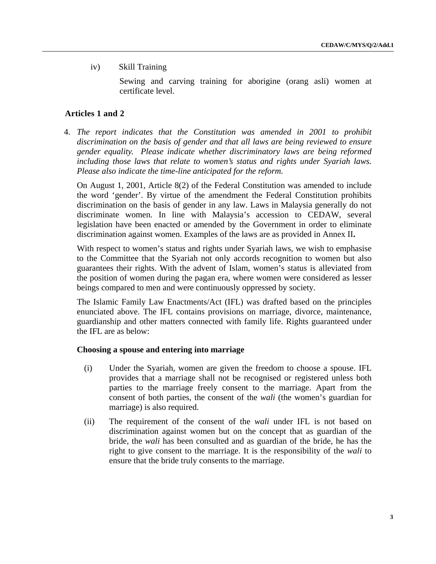# iv) Skill Training

Sewing and carving training for aborigine (orang asli) women at certificate level.

### **Articles 1 and 2**

4. *The report indicates that the Constitution was amended in 2001 to prohibit discrimination on the basis of gender and that all laws are being reviewed to ensure gender equality. Please indicate whether discriminatory laws are being reformed including those laws that relate to women's status and rights under Syariah laws. Please also indicate the time-line anticipated for the reform.*

On August 1, 2001, Article 8(2) of the Federal Constitution was amended to include the word 'gender'. By virtue of the amendment the Federal Constitution prohibits discrimination on the basis of gender in any law. Laws in Malaysia generally do not discriminate women. In line with Malaysia's accession to CEDAW, several legislation have been enacted or amended by the Government in order to eliminate discrimination against women. Examples of the laws are as provided in Annex II**.**

With respect to women's status and rights under Syariah laws, we wish to emphasise to the Committee that the Syariah not only accords recognition to women but also guarantees their rights. With the advent of Islam, women's status is alleviated from the position of women during the pagan era, where women were considered as lesser beings compared to men and were continuously oppressed by society.

The Islamic Family Law Enactments/Act (IFL) was drafted based on the principles enunciated above. The IFL contains provisions on marriage, divorce, maintenance, guardianship and other matters connected with family life. Rights guaranteed under the IFL are as below:

#### **Choosing a spouse and entering into marriage**

- (i) Under the Syariah, women are given the freedom to choose a spouse. IFL provides that a marriage shall not be recognised or registered unless both parties to the marriage freely consent to the marriage. Apart from the consent of both parties, the consent of the *wali* (the women's guardian for marriage) is also required.
- (ii) The requirement of the consent of the *wali* under IFL is not based on discrimination against women but on the concept that as guardian of the bride, the *wali* has been consulted and as guardian of the bride, he has the right to give consent to the marriage. It is the responsibility of the *wali* to ensure that the bride truly consents to the marriage.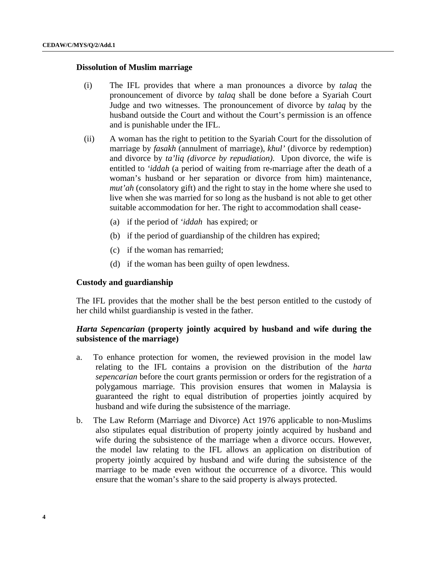#### **Dissolution of Muslim marriage**

- (i) The IFL provides that where a man pronounces a divorce by *talaq* the pronouncement of divorce by *talaq* shall be done before a Syariah Court Judge and two witnesses. The pronouncement of divorce by *talaq* by the husband outside the Court and without the Court's permission is an offence and is punishable under the IFL.
- (ii) A woman has the right to petition to the Syariah Court for the dissolution of marriage by *fasakh* (annulment of marriage), *khul'* (divorce by redemption) and divorce by *ta'liq (divorce by repudiation)*. Upon divorce, the wife is entitled to *'iddah* (a period of waiting from re-marriage after the death of a woman's husband or her separation or divorce from him) maintenance, *mut'ah* (consolatory gift) and the right to stay in the home where she used to live when she was married for so long as the husband is not able to get other suitable accommodation for her. The right to accommodation shall cease-
	- (a) if the period of *'iddah* has expired; or
	- (b) if the period of guardianship of the children has expired;
	- (c) if the woman has remarried;
	- (d) if the woman has been guilty of open lewdness.

#### **Custody and guardianship**

The IFL provides that the mother shall be the best person entitled to the custody of her child whilst guardianship is vested in the father.

# *Harta Sepencarian* **(property jointly acquired by husband and wife during the subsistence of the marriage)**

- a. To enhance protection for women, the reviewed provision in the model law relating to the IFL contains a provision on the distribution of the *harta sepencarian* before the court grants permission or orders for the registration of a polygamous marriage. This provision ensures that women in Malaysia is guaranteed the right to equal distribution of properties jointly acquired by husband and wife during the subsistence of the marriage.
- b. The Law Reform (Marriage and Divorce) Act 1976 applicable to non-Muslims also stipulates equal distribution of property jointly acquired by husband and wife during the subsistence of the marriage when a divorce occurs. However, the model law relating to the IFL allows an application on distribution of property jointly acquired by husband and wife during the subsistence of the marriage to be made even without the occurrence of a divorce. This would ensure that the woman's share to the said property is always protected.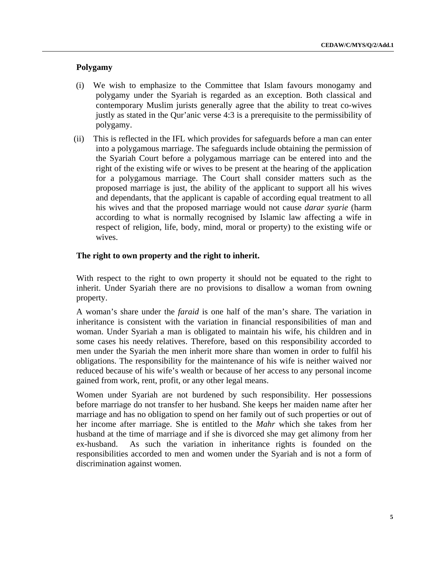# **Polygamy**

- (i) We wish to emphasize to the Committee that Islam favours monogamy and polygamy under the Syariah is regarded as an exception. Both classical and contemporary Muslim jurists generally agree that the ability to treat co-wives justly as stated in the Qur'anic verse 4:3 is a prerequisite to the permissibility of polygamy.
- (ii) This is reflected in the IFL which provides for safeguards before a man can enter into a polygamous marriage. The safeguards include obtaining the permission of the Syariah Court before a polygamous marriage can be entered into and the right of the existing wife or wives to be present at the hearing of the application for a polygamous marriage. The Court shall consider matters such as the proposed marriage is just, the ability of the applicant to support all his wives and dependants, that the applicant is capable of according equal treatment to all his wives and that the proposed marriage would not cause *darar syarie* (harm according to what is normally recognised by Islamic law affecting a wife in respect of religion, life, body, mind, moral or property) to the existing wife or wives.

# **The right to own property and the right to inherit.**

With respect to the right to own property it should not be equated to the right to inherit. Under Syariah there are no provisions to disallow a woman from owning property.

A woman's share under the *faraid* is one half of the man's share. The variation in inheritance is consistent with the variation in financial responsibilities of man and woman. Under Syariah a man is obligated to maintain his wife, his children and in some cases his needy relatives. Therefore, based on this responsibility accorded to men under the Syariah the men inherit more share than women in order to fulfil his obligations. The responsibility for the maintenance of his wife is neither waived nor reduced because of his wife's wealth or because of her access to any personal income gained from work, rent, profit, or any other legal means.

Women under Syariah are not burdened by such responsibility. Her possessions before marriage do not transfer to her husband. She keeps her maiden name after her marriage and has no obligation to spend on her family out of such properties or out of her income after marriage. She is entitled to the *Mahr* which she takes from her husband at the time of marriage and if she is divorced she may get alimony from her ex-husband. As such the variation in inheritance rights is founded on the responsibilities accorded to men and women under the Syariah and is not a form of discrimination against women.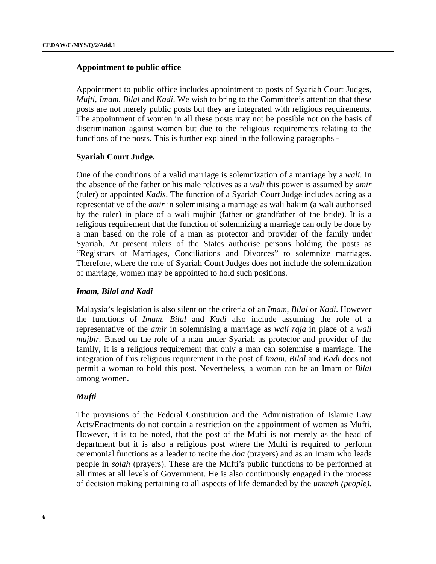#### **Appointment to public office**

Appointment to public office includes appointment to posts of Syariah Court Judges, *Mufti, Imam, Bilal* and *Kadi*. We wish to bring to the Committee's attention that these posts are not merely public posts but they are integrated with religious requirements. The appointment of women in all these posts may not be possible not on the basis of discrimination against women but due to the religious requirements relating to the functions of the posts. This is further explained in the following paragraphs -

#### **Syariah Court Judge.**

One of the conditions of a valid marriage is solemnization of a marriage by a *wali*. In the absence of the father or his male relatives as a *wali* this power is assumed by *amir* (ruler) or appointed *Kadis*. The function of a Syariah Court Judge includes acting as a representative of the *amir* in soleminising a marriage as wali hakim (a wali authorised by the ruler) in place of a wali mujbir (father or grandfather of the bride). It is a religious requirement that the function of solemnizing a marriage can only be done by a man based on the role of a man as protector and provider of the family under Syariah. At present rulers of the States authorise persons holding the posts as "Registrars of Marriages, Conciliations and Divorces" to solemnize marriages. Therefore, where the role of Syariah Court Judges does not include the solemnization of marriage, women may be appointed to hold such positions.

#### *Imam, Bilal and Kadi*

Malaysia's legislation is also silent on the criteria of an *Imam, Bilal* or *Kadi*. However the functions of *Imam, Bilal* and *Kadi* also include assuming the role of a representative of the *amir* in solemnising a marriage as *wali raja* in place of a *wali mujbir.* Based on the role of a man under Syariah as protector and provider of the family, it is a religious requirement that only a man can solemnise a marriage. The integration of this religious requirement in the post of *Imam, Bilal* and *Kadi* does not permit a woman to hold this post. Nevertheless, a woman can be an Imam or *Bilal* among women.

#### *Mufti*

The provisions of the Federal Constitution and the Administration of Islamic Law Acts/Enactments do not contain a restriction on the appointment of women as Mufti. However, it is to be noted, that the post of the Mufti is not merely as the head of department but it is also a religious post where the Mufti is required to perform ceremonial functions as a leader to recite the *doa* (prayers) and as an Imam who leads people in *solah* (prayers). These are the Mufti's public functions to be performed at all times at all levels of Government. He is also continuously engaged in the process of decision making pertaining to all aspects of life demanded by the *ummah (people).*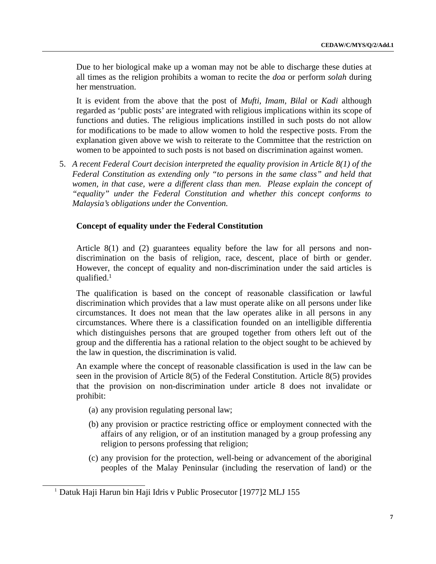Due to her biological make up a woman may not be able to discharge these duties at all times as the religion prohibits a woman to recite the *doa* or perform *solah* during her menstruation.

It is evident from the above that the post of *Mufti, Imam, Bilal* or *Kadi* although regarded as 'public posts' are integrated with religious implications within its scope of functions and duties. The religious implications instilled in such posts do not allow for modifications to be made to allow women to hold the respective posts. From the explanation given above we wish to reiterate to the Committee that the restriction on women to be appointed to such posts is not based on discrimination against women.

5. *A recent Federal Court decision interpreted the equality provision in Article 8(1) of the Federal Constitution as extending only "to persons in the same class" and held that women, in that case, were a different class than men. Please explain the concept of "equality" under the Federal Constitution and whether this concept conforms to Malaysia's obligations under the Convention.*

# **Concept of equality under the Federal Constitution**

Article 8(1) and (2) guarantees equality before the law for all persons and nondiscrimination on the basis of religion, race, descent, place of birth or gender. However, the concept of equality and non-discrimination under the said articles is qualified.1

The qualification is based on the concept of reasonable classification or lawful discrimination which provides that a law must operate alike on all persons under like circumstances. It does not mean that the law operates alike in all persons in any circumstances. Where there is a classification founded on an intelligible differentia which distinguishes persons that are grouped together from others left out of the group and the differentia has a rational relation to the object sought to be achieved by the law in question, the discrimination is valid.

An example where the concept of reasonable classification is used in the law can be seen in the provision of Article 8(5) of the Federal Constitution. Article 8(5) provides that the provision on non-discrimination under article 8 does not invalidate or prohibit:

- (a) any provision regulating personal law;
- (b) any provision or practice restricting office or employment connected with the affairs of any religion, or of an institution managed by a group professing any religion to persons professing that religion;
- (c) any provision for the protection, well-being or advancement of the aboriginal peoples of the Malay Peninsular (including the reservation of land) or the

<sup>&</sup>lt;sup>1</sup> Datuk Haji Harun bin Haji Idris v Public Prosecutor [1977]2 MLJ 155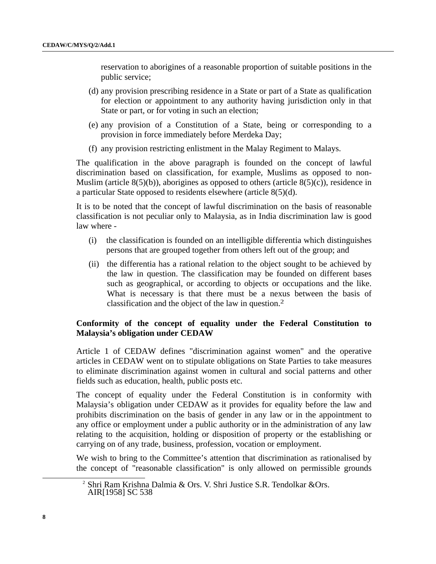reservation to aborigines of a reasonable proportion of suitable positions in the public service;

- (d) any provision prescribing residence in a State or part of a State as qualification for election or appointment to any authority having jurisdiction only in that State or part, or for voting in such an election;
- (e) any provision of a Constitution of a State, being or corresponding to a provision in force immediately before Merdeka Day;
- (f) any provision restricting enlistment in the Malay Regiment to Malays.

The qualification in the above paragraph is founded on the concept of lawful discrimination based on classification, for example, Muslims as opposed to non-Muslim (article  $8(5)(b)$ ), aborigines as opposed to others (article  $8(5)(c)$ ), residence in a particular State opposed to residents elsewhere (article 8(5)(d).

It is to be noted that the concept of lawful discrimination on the basis of reasonable classification is not peculiar only to Malaysia, as in India discrimination law is good law where -

- (i) the classification is founded on an intelligible differentia which distinguishes persons that are grouped together from others left out of the group; and
- (ii) the differentia has a rational relation to the object sought to be achieved by the law in question. The classification may be founded on different bases such as geographical, or according to objects or occupations and the like. What is necessary is that there must be a nexus between the basis of classification and the object of the law in question.2

# **Conformity of the concept of equality under the Federal Constitution to Malaysia's obligation under CEDAW**

Article 1 of CEDAW defines "discrimination against women" and the operative articles in CEDAW went on to stipulate obligations on State Parties to take measures to eliminate discrimination against women in cultural and social patterns and other fields such as education, health, public posts etc.

The concept of equality under the Federal Constitution is in conformity with Malaysia's obligation under CEDAW as it provides for equality before the law and prohibits discrimination on the basis of gender in any law or in the appointment to any office or employment under a public authority or in the administration of any law relating to the acquisition, holding or disposition of property or the establishing or carrying on of any trade, business, profession, vocation or employment.

We wish to bring to the Committee's attention that discrimination as rationalised by the concept of "reasonable classification" is only allowed on permissible grounds

 <sup>2</sup> <sup>2</sup> Shri Ram Krishna Dalmia & Ors. V. Shri Justice S.R. Tendolkar & Ors.

AIR[1958] SC 538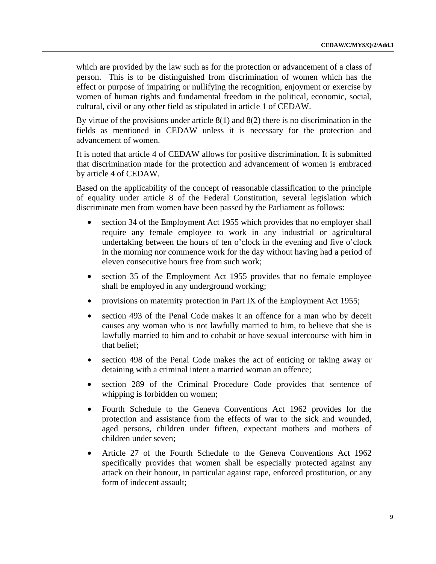which are provided by the law such as for the protection or advancement of a class of person. This is to be distinguished from discrimination of women which has the effect or purpose of impairing or nullifying the recognition, enjoyment or exercise by women of human rights and fundamental freedom in the political, economic, social, cultural, civil or any other field as stipulated in article 1 of CEDAW.

By virtue of the provisions under article 8(1) and 8(2) there is no discrimination in the fields as mentioned in CEDAW unless it is necessary for the protection and advancement of women.

It is noted that article 4 of CEDAW allows for positive discrimination. It is submitted that discrimination made for the protection and advancement of women is embraced by article 4 of CEDAW.

Based on the applicability of the concept of reasonable classification to the principle of equality under article 8 of the Federal Constitution, several legislation which discriminate men from women have been passed by the Parliament as follows:

- section 34 of the Employment Act 1955 which provides that no employer shall require any female employee to work in any industrial or agricultural undertaking between the hours of ten o'clock in the evening and five o'clock in the morning nor commence work for the day without having had a period of eleven consecutive hours free from such work;
- section 35 of the Employment Act 1955 provides that no female employee shall be employed in any underground working;
- provisions on maternity protection in Part IX of the Employment Act 1955;
- section 493 of the Penal Code makes it an offence for a man who by deceit causes any woman who is not lawfully married to him, to believe that she is lawfully married to him and to cohabit or have sexual intercourse with him in that belief;
- section 498 of the Penal Code makes the act of enticing or taking away or detaining with a criminal intent a married woman an offence;
- section 289 of the Criminal Procedure Code provides that sentence of whipping is forbidden on women;
- Fourth Schedule to the Geneva Conventions Act 1962 provides for the protection and assistance from the effects of war to the sick and wounded, aged persons, children under fifteen, expectant mothers and mothers of children under seven;
- Article 27 of the Fourth Schedule to the Geneva Conventions Act 1962 specifically provides that women shall be especially protected against any attack on their honour, in particular against rape, enforced prostitution, or any form of indecent assault;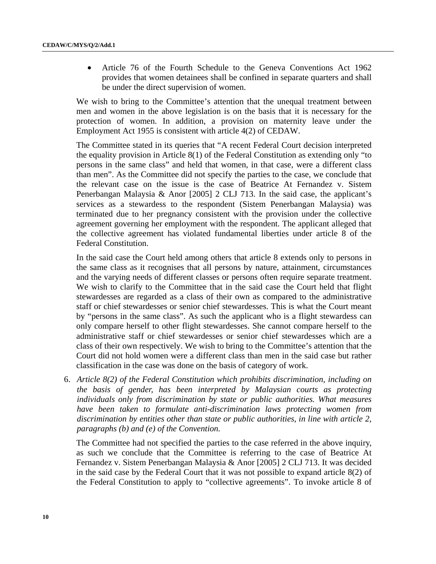• Article 76 of the Fourth Schedule to the Geneva Conventions Act 1962 provides that women detainees shall be confined in separate quarters and shall be under the direct supervision of women.

We wish to bring to the Committee's attention that the unequal treatment between men and women in the above legislation is on the basis that it is necessary for the protection of women. In addition, a provision on maternity leave under the Employment Act 1955 is consistent with article 4(2) of CEDAW.

The Committee stated in its queries that "A recent Federal Court decision interpreted the equality provision in Article 8(1) of the Federal Constitution as extending only "to persons in the same class" and held that women, in that case, were a different class than men". As the Committee did not specify the parties to the case, we conclude that the relevant case on the issue is the case of Beatrice At Fernandez v. Sistem Penerbangan Malaysia & Anor [2005] 2 CLJ 713. In the said case, the applicant's services as a stewardess to the respondent (Sistem Penerbangan Malaysia) was terminated due to her pregnancy consistent with the provision under the collective agreement governing her employment with the respondent. The applicant alleged that the collective agreement has violated fundamental liberties under article 8 of the Federal Constitution.

In the said case the Court held among others that article 8 extends only to persons in the same class as it recognises that all persons by nature, attainment, circumstances and the varying needs of different classes or persons often require separate treatment. We wish to clarify to the Committee that in the said case the Court held that flight stewardesses are regarded as a class of their own as compared to the administrative staff or chief stewardesses or senior chief stewardesses. This is what the Court meant by "persons in the same class". As such the applicant who is a flight stewardess can only compare herself to other flight stewardesses. She cannot compare herself to the administrative staff or chief stewardesses or senior chief stewardesses which are a class of their own respectively. We wish to bring to the Committee's attention that the Court did not hold women were a different class than men in the said case but rather classification in the case was done on the basis of category of work.

6. *Article 8(2) of the Federal Constitution which prohibits discrimination, including on the basis of gender, has been interpreted by Malaysian courts as protecting individuals only from discrimination by state or public authorities. What measures have been taken to formulate anti-discrimination laws protecting women from discrimination by entities other than state or public authorities, in line with article 2, paragraphs (b) and (e) of the Convention.*

The Committee had not specified the parties to the case referred in the above inquiry, as such we conclude that the Committee is referring to the case of Beatrice At Fernandez v. Sistem Penerbangan Malaysia & Anor [2005] 2 CLJ 713. It was decided in the said case by the Federal Court that it was not possible to expand article 8(2) of the Federal Constitution to apply to "collective agreements". To invoke article 8 of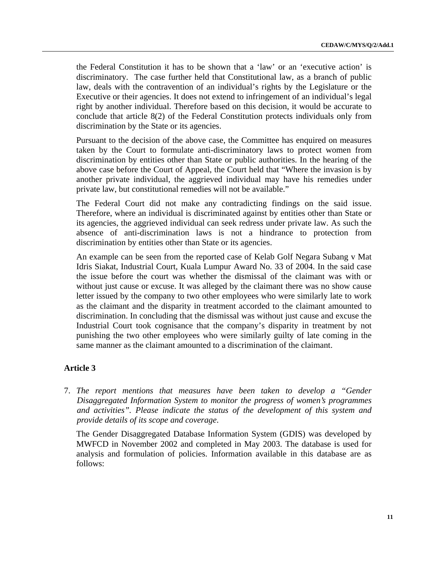the Federal Constitution it has to be shown that a 'law' or an 'executive action' is discriminatory. The case further held that Constitutional law, as a branch of public law, deals with the contravention of an individual's rights by the Legislature or the Executive or their agencies. It does not extend to infringement of an individual's legal right by another individual. Therefore based on this decision, it would be accurate to conclude that article 8(2) of the Federal Constitution protects individuals only from discrimination by the State or its agencies.

Pursuant to the decision of the above case, the Committee has enquired on measures taken by the Court to formulate anti-discriminatory laws to protect women from discrimination by entities other than State or public authorities. In the hearing of the above case before the Court of Appeal, the Court held that "Where the invasion is by another private individual, the aggrieved individual may have his remedies under private law, but constitutional remedies will not be available."

The Federal Court did not make any contradicting findings on the said issue. Therefore, where an individual is discriminated against by entities other than State or its agencies, the aggrieved individual can seek redress under private law. As such the absence of anti-discrimination laws is not a hindrance to protection from discrimination by entities other than State or its agencies.

An example can be seen from the reported case of Kelab Golf Negara Subang v Mat Idris Siakat, Industrial Court, Kuala Lumpur Award No. 33 of 2004. In the said case the issue before the court was whether the dismissal of the claimant was with or without just cause or excuse. It was alleged by the claimant there was no show cause letter issued by the company to two other employees who were similarly late to work as the claimant and the disparity in treatment accorded to the claimant amounted to discrimination. In concluding that the dismissal was without just cause and excuse the Industrial Court took cognisance that the company's disparity in treatment by not punishing the two other employees who were similarly guilty of late coming in the same manner as the claimant amounted to a discrimination of the claimant.

# **Article 3**

7. *The report mentions that measures have been taken to develop a "Gender Disaggregated Information System to monitor the progress of women's programmes and activities". Please indicate the status of the development of this system and provide details of its scope and coverage*.

The Gender Disaggregated Database Information System (GDIS) was developed by MWFCD in November 2002 and completed in May 2003. The database is used for analysis and formulation of policies. Information available in this database are as follows: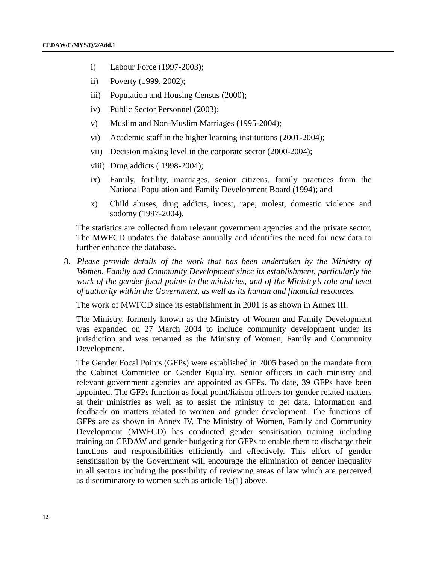- i) Labour Force (1997-2003);
- ii) Poverty (1999, 2002);
- iii) Population and Housing Census (2000);
- iv) Public Sector Personnel (2003);
- v) Muslim and Non-Muslim Marriages (1995-2004);
- vi) Academic staff in the higher learning institutions (2001-2004);
- vii) Decision making level in the corporate sector (2000-2004);
- viii) Drug addicts ( 1998-2004);
- ix) Family, fertility, marriages, senior citizens, family practices from the National Population and Family Development Board (1994); and
- x) Child abuses, drug addicts, incest, rape, molest, domestic violence and sodomy (1997-2004).

The statistics are collected from relevant government agencies and the private sector. The MWFCD updates the database annually and identifies the need for new data to further enhance the database.

8. *Please provide details of the work that has been undertaken by the Ministry of Women, Family and Community Development since its establishment, particularly the work of the gender focal points in the ministries, and of the Ministry's role and level of authority within the Government, as well as its human and financial resources.*

The work of MWFCD since its establishment in 2001 is as shown in Annex III.

The Ministry, formerly known as the Ministry of Women and Family Development was expanded on 27 March 2004 to include community development under its jurisdiction and was renamed as the Ministry of Women, Family and Community Development.

The Gender Focal Points (GFPs) were established in 2005 based on the mandate from the Cabinet Committee on Gender Equality. Senior officers in each ministry and relevant government agencies are appointed as GFPs. To date, 39 GFPs have been appointed. The GFPs function as focal point/liaison officers for gender related matters at their ministries as well as to assist the ministry to get data, information and feedback on matters related to women and gender development. The functions of GFPs are as shown in Annex IV. The Ministry of Women, Family and Community Development (MWFCD) has conducted gender sensitisation training including training on CEDAW and gender budgeting for GFPs to enable them to discharge their functions and responsibilities efficiently and effectively. This effort of gender sensitisation by the Government will encourage the elimination of gender inequality in all sectors including the possibility of reviewing areas of law which are perceived as discriminatory to women such as article 15(1) above.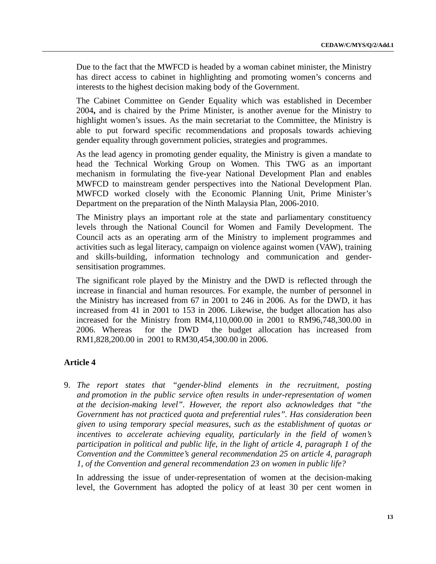Due to the fact that the MWFCD is headed by a woman cabinet minister, the Ministry has direct access to cabinet in highlighting and promoting women's concerns and interests to the highest decision making body of the Government.

The Cabinet Committee on Gender Equality which was established in December 2004**,** and is chaired by the Prime Minister, is another avenue for the Ministry to highlight women's issues. As the main secretariat to the Committee, the Ministry is able to put forward specific recommendations and proposals towards achieving gender equality through government policies, strategies and programmes.

As the lead agency in promoting gender equality, the Ministry is given a mandate to head the Technical Working Group on Women. This TWG as an important mechanism in formulating the five-year National Development Plan and enables MWFCD to mainstream gender perspectives into the National Development Plan. MWFCD worked closely with the Economic Planning Unit, Prime Minister's Department on the preparation of the Ninth Malaysia Plan, 2006-2010.

The Ministry plays an important role at the state and parliamentary constituency levels through the National Council for Women and Family Development. The Council acts as an operating arm of the Ministry to implement programmes and activities such as legal literacy, campaign on violence against women (VAW), training and skills-building, information technology and communication and gendersensitisation programmes.

The significant role played by the Ministry and the DWD is reflected through the increase in financial and human resources. For example, the number of personnel in the Ministry has increased from 67 in 2001 to 246 in 2006. As for the DWD, it has increased from 41 in 2001 to 153 in 2006. Likewise, the budget allocation has also increased for the Ministry from RM4,110,000.00 in 2001 to RM96,748,300.00 in 2006. Whereas for the DWD the budget allocation has increased from RM1,828,200.00 in 2001 to RM30,454,300.00 in 2006.

# **Article 4**

9. *The report states that "gender-blind elements in the recruitment, posting and promotion in the public service often results in under-representation of women at the decision-making level". However, the report also acknowledges that "the Government has not practiced quota and preferential rules". Has consideration been given to using temporary special measures, such as the establishment of quotas or incentives to accelerate achieving equality, particularly in the field of women's participation in political and public life, in the light of article 4, paragraph 1 of the Convention and the Committee's general recommendation 25 on article 4, paragraph 1, of the Convention and general recommendation 23 on women in public life?*

In addressing the issue of under-representation of women at the decision-making level, the Government has adopted the policy of at least 30 per cent women in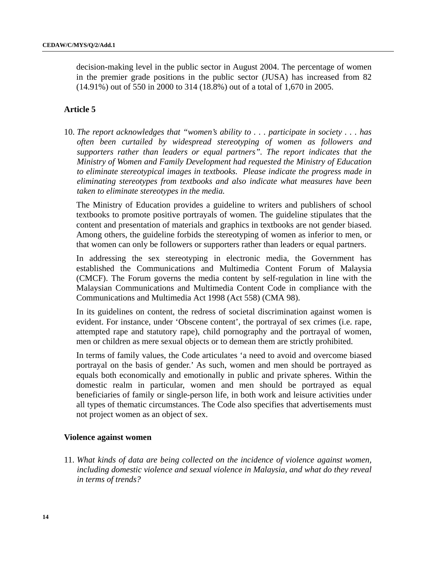decision-making level in the public sector in August 2004. The percentage of women in the premier grade positions in the public sector (JUSA) has increased from 82 (14.91%) out of 550 in 2000 to 314 (18.8%) out of a total of 1,670 in 2005.

#### **Article 5**

10. *The report acknowledges that "women's ability to . . . participate in society . . . has often been curtailed by widespread stereotyping of women as followers and supporters rather than leaders or equal partners". The report indicates that the Ministry of Women and Family Development had requested the Ministry of Education to eliminate stereotypical images in textbooks. Please indicate the progress made in eliminating stereotypes from textbooks and also indicate what measures have been taken to eliminate stereotypes in the media.*

The Ministry of Education provides a guideline to writers and publishers of school textbooks to promote positive portrayals of women. The guideline stipulates that the content and presentation of materials and graphics in textbooks are not gender biased. Among others, the guideline forbids the stereotyping of women as inferior to men, or that women can only be followers or supporters rather than leaders or equal partners.

In addressing the sex stereotyping in electronic media, the Government has established the Communications and Multimedia Content Forum of Malaysia (CMCF). The Forum governs the media content by self-regulation in line with the Malaysian Communications and Multimedia Content Code in compliance with the Communications and Multimedia Act 1998 (Act 558) (CMA 98).

In its guidelines on content, the redress of societal discrimination against women is evident. For instance, under 'Obscene content', the portrayal of sex crimes (i.e. rape, attempted rape and statutory rape), child pornography and the portrayal of women, men or children as mere sexual objects or to demean them are strictly prohibited.

In terms of family values, the Code articulates 'a need to avoid and overcome biased portrayal on the basis of gender.' As such, women and men should be portrayed as equals both economically and emotionally in public and private spheres. Within the domestic realm in particular, women and men should be portrayed as equal beneficiaries of family or single-person life, in both work and leisure activities under all types of thematic circumstances. The Code also specifies that advertisements must not project women as an object of sex.

#### **Violence against women**

11. *What kinds of data are being collected on the incidence of violence against women, including domestic violence and sexual violence in Malaysia, and what do they reveal in terms of trends?*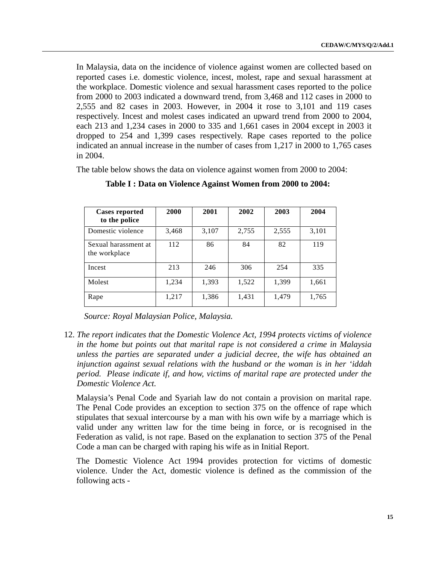In Malaysia, data on the incidence of violence against women are collected based on reported cases i.e. domestic violence, incest, molest, rape and sexual harassment at the workplace. Domestic violence and sexual harassment cases reported to the police from 2000 to 2003 indicated a downward trend, from 3,468 and 112 cases in 2000 to 2,555 and 82 cases in 2003. However, in 2004 it rose to 3,101 and 119 cases respectively. Incest and molest cases indicated an upward trend from 2000 to 2004, each 213 and 1,234 cases in 2000 to 335 and 1,661 cases in 2004 except in 2003 it dropped to 254 and 1,399 cases respectively. Rape cases reported to the police indicated an annual increase in the number of cases from 1,217 in 2000 to 1,765 cases in 2004.

The table below shows the data on violence against women from 2000 to 2004:

| <b>Cases reported</b><br>to the police | 2000  | 2001  | 2002  | 2003  | 2004  |
|----------------------------------------|-------|-------|-------|-------|-------|
| Domestic violence                      | 3,468 | 3,107 | 2,755 | 2,555 | 3,101 |
| Sexual harassment at<br>the workplace  | 112   | 86    | 84    | 82    | 119   |
| Incest                                 | 213   | 246   | 306   | 254   | 335   |
| Molest                                 | 1,234 | 1,393 | 1,522 | 1,399 | 1,661 |
| Rape                                   | 1,217 | 1,386 | 1,431 | 1,479 | 1,765 |

# **Table I : Data on Violence Against Women from 2000 to 2004:**

*Source: Royal Malaysian Police, Malaysia.*

12. *The report indicates that the Domestic Violence Act, 1994 protects victims of violence in the home but points out that marital rape is not considered a crime in Malaysia unless the parties are separated under a judicial decree, the wife has obtained an injunction against sexual relations with the husband or the woman is in her 'iddah period. Please indicate if, and how, victims of marital rape are protected under the Domestic Violence Act.*

Malaysia's Penal Code and Syariah law do not contain a provision on marital rape. The Penal Code provides an exception to section 375 on the offence of rape which stipulates that sexual intercourse by a man with his own wife by a marriage which is valid under any written law for the time being in force, or is recognised in the Federation as valid, is not rape. Based on the explanation to section 375 of the Penal Code a man can be charged with raping his wife as in Initial Report.

The Domestic Violence Act 1994 provides protection for victims of domestic violence. Under the Act, domestic violence is defined as the commission of the following acts -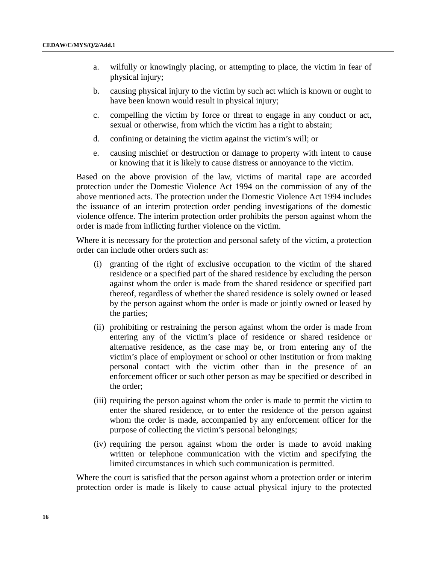- a. wilfully or knowingly placing, or attempting to place, the victim in fear of physical injury;
- b. causing physical injury to the victim by such act which is known or ought to have been known would result in physical injury;
- c. compelling the victim by force or threat to engage in any conduct or act, sexual or otherwise, from which the victim has a right to abstain;
- d. confining or detaining the victim against the victim's will; or
- e. causing mischief or destruction or damage to property with intent to cause or knowing that it is likely to cause distress or annoyance to the victim.

Based on the above provision of the law, victims of marital rape are accorded protection under the Domestic Violence Act 1994 on the commission of any of the above mentioned acts. The protection under the Domestic Violence Act 1994 includes the issuance of an interim protection order pending investigations of the domestic violence offence. The interim protection order prohibits the person against whom the order is made from inflicting further violence on the victim.

Where it is necessary for the protection and personal safety of the victim, a protection order can include other orders such as:

- (i) granting of the right of exclusive occupation to the victim of the shared residence or a specified part of the shared residence by excluding the person against whom the order is made from the shared residence or specified part thereof, regardless of whether the shared residence is solely owned or leased by the person against whom the order is made or jointly owned or leased by the parties;
- (ii) prohibiting or restraining the person against whom the order is made from entering any of the victim's place of residence or shared residence or alternative residence, as the case may be, or from entering any of the victim's place of employment or school or other institution or from making personal contact with the victim other than in the presence of an enforcement officer or such other person as may be specified or described in the order;
- (iii) requiring the person against whom the order is made to permit the victim to enter the shared residence, or to enter the residence of the person against whom the order is made, accompanied by any enforcement officer for the purpose of collecting the victim's personal belongings;
- (iv) requiring the person against whom the order is made to avoid making written or telephone communication with the victim and specifying the limited circumstances in which such communication is permitted.

Where the court is satisfied that the person against whom a protection order or interim protection order is made is likely to cause actual physical injury to the protected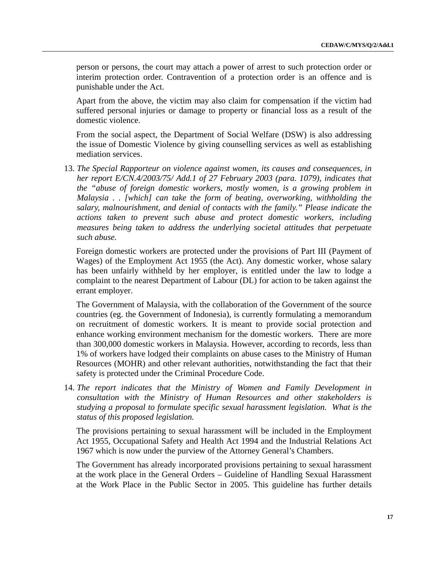person or persons, the court may attach a power of arrest to such protection order or interim protection order. Contravention of a protection order is an offence and is punishable under the Act.

Apart from the above, the victim may also claim for compensation if the victim had suffered personal injuries or damage to property or financial loss as a result of the domestic violence.

From the social aspect, the Department of Social Welfare (DSW) is also addressing the issue of Domestic Violence by giving counselling services as well as establishing mediation services.

13. *The Special Rapporteur on violence against women, its causes and consequences, in her report E/CN.4/2003/75/ Add.1 of 27 February 2003 (para. 1079), indicates that the "abuse of foreign domestic workers, mostly women, is a growing problem in Malaysia . . [which] can take the form of beating, overworking, withholding the salary, malnourishment, and denial of contacts with the family." Please indicate the actions taken to prevent such abuse and protect domestic workers, including measures being taken to address the underlying societal attitudes that perpetuate such abuse.*

Foreign domestic workers are protected under the provisions of Part III (Payment of Wages) of the Employment Act 1955 (the Act). Any domestic worker, whose salary has been unfairly withheld by her employer, is entitled under the law to lodge a complaint to the nearest Department of Labour (DL) for action to be taken against the errant employer.

The Government of Malaysia, with the collaboration of the Government of the source countries (eg. the Government of Indonesia), is currently formulating a memorandum on recruitment of domestic workers. It is meant to provide social protection and enhance working environment mechanism for the domestic workers. There are more than 300,000 domestic workers in Malaysia. However, according to records, less than 1% of workers have lodged their complaints on abuse cases to the Ministry of Human Resources (MOHR) and other relevant authorities, notwithstanding the fact that their safety is protected under the Criminal Procedure Code.

14. *The report indicates that the Ministry of Women and Family Development in consultation with the Ministry of Human Resources and other stakeholders is studying a proposal to formulate specific sexual harassment legislation. What is the status of this proposed legislation.*

The provisions pertaining to sexual harassment will be included in the Employment Act 1955, Occupational Safety and Health Act 1994 and the Industrial Relations Act 1967 which is now under the purview of the Attorney General's Chambers.

The Government has already incorporated provisions pertaining to sexual harassment at the work place in the General Orders – Guideline of Handling Sexual Harassment at the Work Place in the Public Sector in 2005. This guideline has further details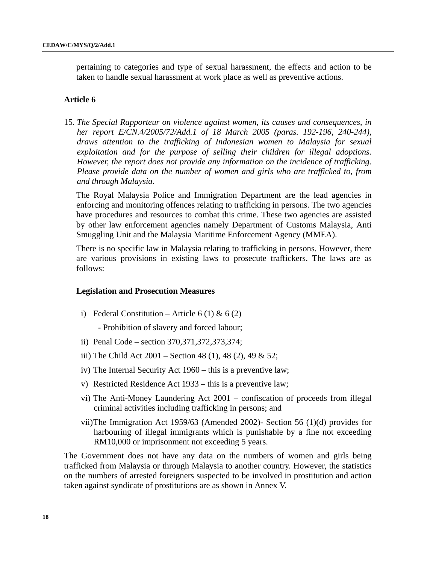pertaining to categories and type of sexual harassment, the effects and action to be taken to handle sexual harassment at work place as well as preventive actions.

#### **Article 6**

15. *The Special Rapporteur on violence against women, its causes and consequences, in her report E/CN.4/2005/72/Add.1 of 18 March 2005 (paras. 192-196, 240-244), draws attention to the trafficking of Indonesian women to Malaysia for sexual exploitation and for the purpose of selling their children for illegal adoptions. However, the report does not provide any information on the incidence of trafficking. Please provide data on the number of women and girls who are trafficked to, from and through Malaysia.*

The Royal Malaysia Police and Immigration Department are the lead agencies in enforcing and monitoring offences relating to trafficking in persons. The two agencies have procedures and resources to combat this crime. These two agencies are assisted by other law enforcement agencies namely Department of Customs Malaysia, Anti Smuggling Unit and the Malaysia Maritime Enforcement Agency (MMEA).

There is no specific law in Malaysia relating to trafficking in persons. However, there are various provisions in existing laws to prosecute traffickers. The laws are as follows:

#### **Legislation and Prosecution Measures**

i) Federal Constitution – Article 6 (1) & 6 (2)

- Prohibition of slavery and forced labour;

- ii) Penal Code section 370,371,372,373,374;
- iii) The Child Act 2001 Section 48 (1), 48 (2), 49 & 52;
- iv) The Internal Security Act 1960 this is a preventive law;
- v) Restricted Residence Act 1933 this is a preventive law;
- vi) The Anti-Money Laundering Act 2001 confiscation of proceeds from illegal criminal activities including trafficking in persons; and
- vii)The Immigration Act 1959/63 (Amended 2002)- Section 56 (1)(d) provides for harbouring of illegal immigrants which is punishable by a fine not exceeding RM10,000 or imprisonment not exceeding 5 years.

The Government does not have any data on the numbers of women and girls being trafficked from Malaysia or through Malaysia to another country. However, the statistics on the numbers of arrested foreigners suspected to be involved in prostitution and action taken against syndicate of prostitutions are as shown in Annex V.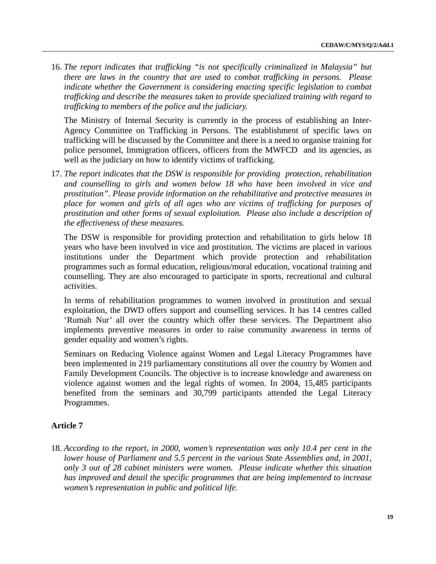16. *The report indicates that trafficking "is not specifically criminalized in Malaysia" but there are laws in the country that are used to combat trafficking in persons. Please indicate whether the Government is considering enacting specific legislation to combat trafficking and describe the measures taken to provide specialized training with regard to trafficking to members of the police and the judiciary.*

The Ministry of Internal Security is currently in the process of establishing an Inter-Agency Committee on Trafficking in Persons. The establishment of specific laws on trafficking will be discussed by the Committee and there is a need to organise training for police personnel, Immigration officers, officers from the MWFCD and its agencies, as well as the judiciary on how to identify victims of trafficking.

17. *The report indicates that the DSW is responsible for providing protection, rehabilitation and counselling to girls and women below 18 who have been involved in vice and prostitution". Please provide information on the rehabilitative and protective measures in place for women and girls of all ages who are victims of trafficking for purposes of prostitution and other forms of sexual exploitation. Please also include a description of the effectiveness of these measures.*

The DSW is responsible for providing protection and rehabilitation to girls below 18 years who have been involved in vice and prostitution. The victims are placed in various institutions under the Department which provide protection and rehabilitation programmes such as formal education, religious/moral education, vocational training and counselling. They are also encouraged to participate in sports, recreational and cultural activities.

In terms of rehabilitation programmes to women involved in prostitution and sexual exploitation, the DWD offers support and counselling services. It has 14 centres called 'Rumah Nur' all over the country which offer these services. The Department also implements preventive measures in order to raise community awareness in terms of gender equality and women's rights.

Seminars on Reducing Violence against Women and Legal Literacy Programmes have been implemented in 219 parliamentary constitutions all over the country by Women and Family Development Councils. The objective is to increase knowledge and awareness on violence against women and the legal rights of women. In 2004, 15,485 participants benefited from the seminars and 30,799 participants attended the Legal Literacy Programmes.

# **Article 7**

18. *According to the report, in 2000, women's representation was only 10.4 per cent in the lower house of Parliament and 5.5 percent in the various State Assemblies and, in 2001, only 3 out of 28 cabinet ministers were women. Please indicate whether this situation has improved and detail the specific programmes that are being implemented to increase women's representation in public and political life.*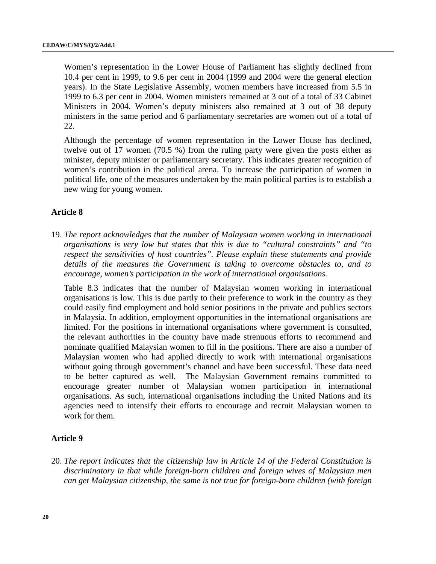Women's representation in the Lower House of Parliament has slightly declined from 10.4 per cent in 1999, to 9.6 per cent in 2004 (1999 and 2004 were the general election years). In the State Legislative Assembly, women members have increased from 5.5 in 1999 to 6.3 per cent in 2004. Women ministers remained at 3 out of a total of 33 Cabinet Ministers in 2004. Women's deputy ministers also remained at 3 out of 38 deputy ministers in the same period and 6 parliamentary secretaries are women out of a total of 22.

Although the percentage of women representation in the Lower House has declined, twelve out of 17 women (70.5 %) from the ruling party were given the posts either as minister, deputy minister or parliamentary secretary. This indicates greater recognition of women's contribution in the political arena. To increase the participation of women in political life, one of the measures undertaken by the main political parties is to establish a new wing for young women.

# **Article 8**

19. *The report acknowledges that the number of Malaysian women working in international organisations is very low but states that this is due to "cultural constraints" and "to respect the sensitivities of host countries". Please explain these statements and provide details of the measures the Government is taking to overcome obstacles to, and to encourage, women's participation in the work of international organisations.*

 Table 8.3 indicates that the number of Malaysian women working in international organisations is low. This is due partly to their preference to work in the country as they could easily find employment and hold senior positions in the private and publics sectors in Malaysia. In addition, employment opportunities in the international organisations are limited. For the positions in international organisations where government is consulted, the relevant authorities in the country have made strenuous efforts to recommend and nominate qualified Malaysian women to fill in the positions. There are also a number of Malaysian women who had applied directly to work with international organisations without going through government's channel and have been successful. These data need to be better captured as well. The Malaysian Government remains committed to encourage greater number of Malaysian women participation in international organisations. As such, international organisations including the United Nations and its agencies need to intensify their efforts to encourage and recruit Malaysian women to work for them.

# **Article 9**

20. *The report indicates that the citizenship law in Article 14 of the Federal Constitution is discriminatory in that while foreign-born children and foreign wives of Malaysian men can get Malaysian citizenship, the same is not true for foreign-born children (with foreign*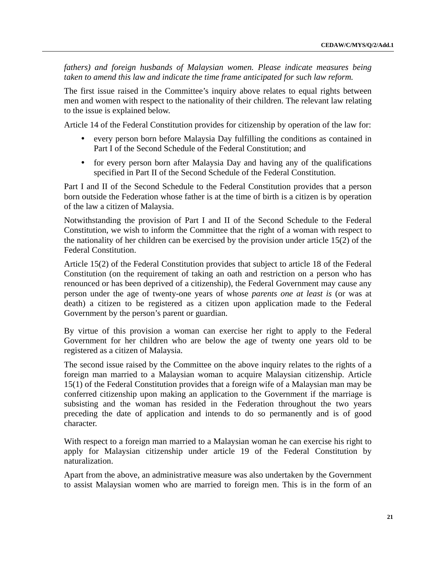*fathers) and foreign husbands of Malaysian women. Please indicate measures being taken to amend this law and indicate the time frame anticipated for such law reform.*

The first issue raised in the Committee's inquiry above relates to equal rights between men and women with respect to the nationality of their children. The relevant law relating to the issue is explained below.

Article 14 of the Federal Constitution provides for citizenship by operation of the law for:

- ! every person born before Malaysia Day fulfilling the conditions as contained in Part I of the Second Schedule of the Federal Constitution; and
- for every person born after Malaysia Day and having any of the qualifications specified in Part II of the Second Schedule of the Federal Constitution.

Part I and II of the Second Schedule to the Federal Constitution provides that a person born outside the Federation whose father is at the time of birth is a citizen is by operation of the law a citizen of Malaysia.

Notwithstanding the provision of Part I and II of the Second Schedule to the Federal Constitution, we wish to inform the Committee that the right of a woman with respect to the nationality of her children can be exercised by the provision under article 15(2) of the Federal Constitution.

Article 15(2) of the Federal Constitution provides that subject to article 18 of the Federal Constitution (on the requirement of taking an oath and restriction on a person who has renounced or has been deprived of a citizenship), the Federal Government may cause any person under the age of twenty-one years of whose *parents one at least is* (or was at death) a citizen to be registered as a citizen upon application made to the Federal Government by the person's parent or guardian.

By virtue of this provision a woman can exercise her right to apply to the Federal Government for her children who are below the age of twenty one years old to be registered as a citizen of Malaysia.

The second issue raised by the Committee on the above inquiry relates to the rights of a foreign man married to a Malaysian woman to acquire Malaysian citizenship. Article 15(1) of the Federal Constitution provides that a foreign wife of a Malaysian man may be conferred citizenship upon making an application to the Government if the marriage is subsisting and the woman has resided in the Federation throughout the two years preceding the date of application and intends to do so permanently and is of good character.

With respect to a foreign man married to a Malaysian woman he can exercise his right to apply for Malaysian citizenship under article 19 of the Federal Constitution by naturalization.

Apart from the above, an administrative measure was also undertaken by the Government to assist Malaysian women who are married to foreign men. This is in the form of an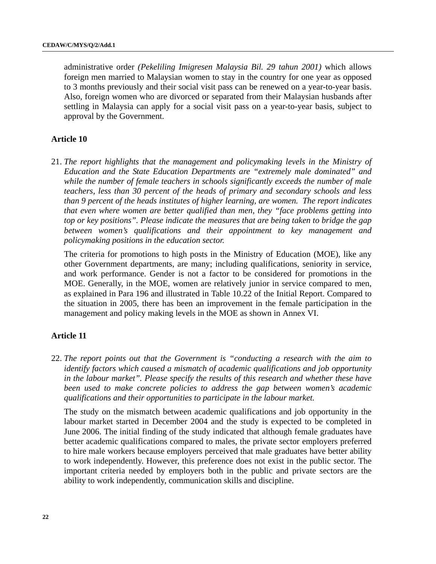administrative order *(Pekeliling Imigresen Malaysia Bil. 29 tahun 2001)* which allows foreign men married to Malaysian women to stay in the country for one year as opposed to 3 months previously and their social visit pass can be renewed on a year-to-year basis. Also, foreign women who are divorced or separated from their Malaysian husbands after settling in Malaysia can apply for a social visit pass on a year-to-year basis, subject to approval by the Government.

### **Article 10**

21. *The report highlights that the management and policymaking levels in the Ministry of Education and the State Education Departments are "extremely male dominated" and while the number of female teachers in schools significantly exceeds the number of male teachers, less than 30 percent of the heads of primary and secondary schools and less than 9 percent of the heads institutes of higher learning, are women. The report indicates that even where women are better qualified than men, they "face problems getting into top or key positions". Please indicate the measures that are being taken to bridge the gap between women's qualifications and their appointment to key management and policymaking positions in the education sector.*

The criteria for promotions to high posts in the Ministry of Education (MOE), like any other Government departments, are many; including qualifications, seniority in service, and work performance. Gender is not a factor to be considered for promotions in the MOE. Generally, in the MOE, women are relatively junior in service compared to men, as explained in Para 196 and illustrated in Table 10.22 of the Initial Report. Compared to the situation in 2005, there has been an improvement in the female participation in the management and policy making levels in the MOE as shown in Annex VI.

#### **Article 11**

22. *The report points out that the Government is "conducting a research with the aim to identify factors which caused a mismatch of academic qualifications and job opportunity in the labour market". Please specify the results of this research and whether these have been used to make concrete policies to address the gap between women's academic qualifications and their opportunities to participate in the labour market.*

The study on the mismatch between academic qualifications and job opportunity in the labour market started in December 2004 and the study is expected to be completed in June 2006. The initial finding of the study indicated that although female graduates have better academic qualifications compared to males, the private sector employers preferred to hire male workers because employers perceived that male graduates have better ability to work independently. However, this preference does not exist in the public sector. The important criteria needed by employers both in the public and private sectors are the ability to work independently, communication skills and discipline.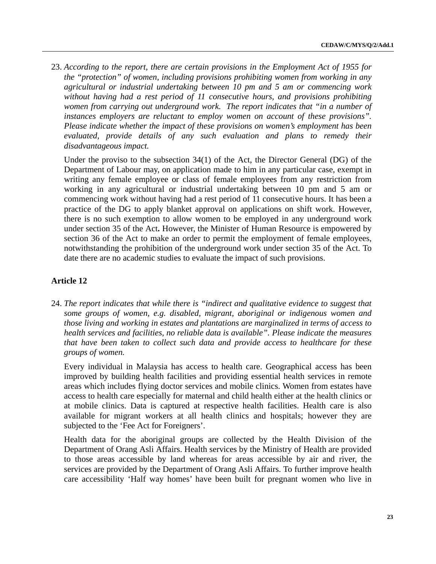23. *According to the report, there are certain provisions in the Employment Act of 1955 for the "protection" of women, including provisions prohibiting women from working in any agricultural or industrial undertaking between 10 pm and 5 am or commencing work without having had a rest period of 11 consecutive hours, and provisions prohibiting women from carrying out underground work. The report indicates that "in a number of instances employers are reluctant to employ women on account of these provisions". Please indicate whether the impact of these provisions on women's employment has been evaluated, provide details of any such evaluation and plans to remedy their disadvantageous impact.*

Under the proviso to the subsection 34(1) of the Act, the Director General (DG) of the Department of Labour may, on application made to him in any particular case, exempt in writing any female employee or class of female employees from any restriction from working in any agricultural or industrial undertaking between 10 pm and 5 am or commencing work without having had a rest period of 11 consecutive hours. It has been a practice of the DG to apply blanket approval on applications on shift work. However, there is no such exemption to allow women to be employed in any underground work under section 35 of the Act**.** However, the Minister of Human Resource is empowered by section 36 of the Act to make an order to permit the employment of female employees, notwithstanding the prohibition of the underground work under section 35 of the Act. To date there are no academic studies to evaluate the impact of such provisions.

# **Article 12**

24. *The report indicates that while there is "indirect and qualitative evidence to suggest that some groups of women, e.g. disabled, migrant, aboriginal or indigenous women and those living and working in estates and plantations are marginalized in terms of access to health services and facilities, no reliable data is available". Please indicate the measures that have been taken to collect such data and provide access to healthcare for these groups of women.*

Every individual in Malaysia has access to health care. Geographical access has been improved by building health facilities and providing essential health services in remote areas which includes flying doctor services and mobile clinics. Women from estates have access to health care especially for maternal and child health either at the health clinics or at mobile clinics. Data is captured at respective health facilities. Health care is also available for migrant workers at all health clinics and hospitals; however they are subjected to the 'Fee Act for Foreigners'.

Health data for the aboriginal groups are collected by the Health Division of the Department of Orang Asli Affairs. Health services by the Ministry of Health are provided to those areas accessible by land whereas for areas accessible by air and river, the services are provided by the Department of Orang Asli Affairs. To further improve health care accessibility 'Half way homes' have been built for pregnant women who live in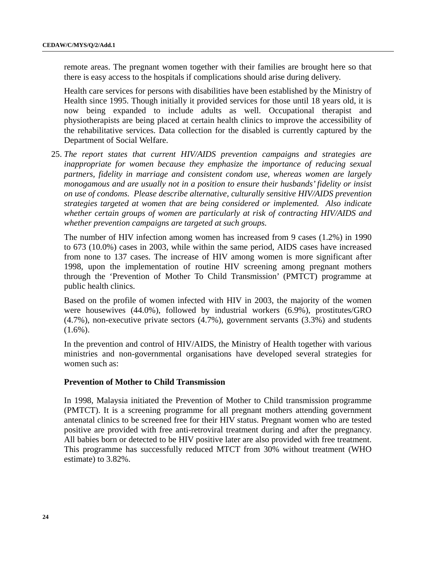remote areas. The pregnant women together with their families are brought here so that there is easy access to the hospitals if complications should arise during delivery.

Health care services for persons with disabilities have been established by the Ministry of Health since 1995. Though initially it provided services for those until 18 years old, it is now being expanded to include adults as well. Occupational therapist and physiotherapists are being placed at certain health clinics to improve the accessibility of the rehabilitative services. Data collection for the disabled is currently captured by the Department of Social Welfare.

25. *The report states that current HIV/AIDS prevention campaigns and strategies are inappropriate for women because they emphasize the importance of reducing sexual partners, fidelity in marriage and consistent condom use, whereas women are largely monogamous and are usually not in a position to ensure their husbands' fidelity or insist on use of condoms. Please describe alternative, culturally sensitive HIV/AIDS prevention strategies targeted at women that are being considered or implemented. Also indicate whether certain groups of women are particularly at risk of contracting HIV/AIDS and whether prevention campaigns are targeted at such groups.*

The number of HIV infection among women has increased from 9 cases (1.2%) in 1990 to 673 (10.0%) cases in 2003, while within the same period, AIDS cases have increased from none to 137 cases. The increase of HIV among women is more significant after 1998, upon the implementation of routine HIV screening among pregnant mothers through the 'Prevention of Mother To Child Transmission' (PMTCT) programme at public health clinics.

Based on the profile of women infected with HIV in 2003, the majority of the women were housewives (44.0%), followed by industrial workers (6.9%), prostitutes/GRO (4.7%), non-executive private sectors (4.7%), government servants (3.3%) and students  $(1.6\%)$ .

In the prevention and control of HIV/AIDS, the Ministry of Health together with various ministries and non-governmental organisations have developed several strategies for women such as:

#### **Prevention of Mother to Child Transmission**

In 1998, Malaysia initiated the Prevention of Mother to Child transmission programme (PMTCT). It is a screening programme for all pregnant mothers attending government antenatal clinics to be screened free for their HIV status. Pregnant women who are tested positive are provided with free anti-retroviral treatment during and after the pregnancy. All babies born or detected to be HIV positive later are also provided with free treatment. This programme has successfully reduced MTCT from 30% without treatment (WHO estimate) to 3.82%.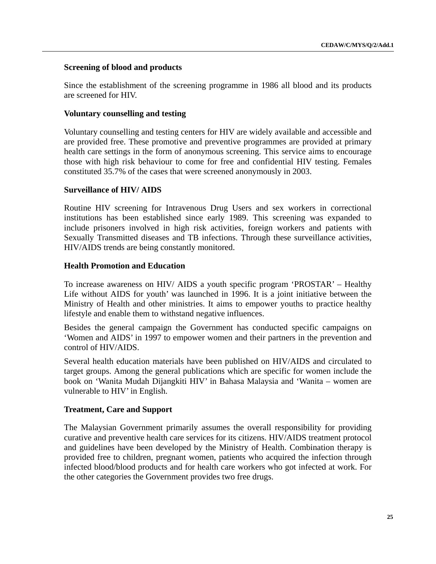### **Screening of blood and products**

Since the establishment of the screening programme in 1986 all blood and its products are screened for HIV.

### **Voluntary counselling and testing**

Voluntary counselling and testing centers for HIV are widely available and accessible and are provided free. These promotive and preventive programmes are provided at primary health care settings in the form of anonymous screening. This service aims to encourage those with high risk behaviour to come for free and confidential HIV testing. Females constituted 35.7% of the cases that were screened anonymously in 2003.

### **Surveillance of HIV/ AIDS**

Routine HIV screening for Intravenous Drug Users and sex workers in correctional institutions has been established since early 1989. This screening was expanded to include prisoners involved in high risk activities, foreign workers and patients with Sexually Transmitted diseases and TB infections. Through these surveillance activities, HIV/AIDS trends are being constantly monitored.

### **Health Promotion and Education**

To increase awareness on HIV/ AIDS a youth specific program 'PROSTAR' – Healthy Life without AIDS for youth' was launched in 1996. It is a joint initiative between the Ministry of Health and other ministries. It aims to empower youths to practice healthy lifestyle and enable them to withstand negative influences.

Besides the general campaign the Government has conducted specific campaigns on 'Women and AIDS' in 1997 to empower women and their partners in the prevention and control of HIV/AIDS.

Several health education materials have been published on HIV/AIDS and circulated to target groups. Among the general publications which are specific for women include the book on 'Wanita Mudah Dijangkiti HIV' in Bahasa Malaysia and 'Wanita – women are vulnerable to HIV' in English.

# **Treatment, Care and Support**

The Malaysian Government primarily assumes the overall responsibility for providing curative and preventive health care services for its citizens. HIV/AIDS treatment protocol and guidelines have been developed by the Ministry of Health. Combination therapy is provided free to children, pregnant women, patients who acquired the infection through infected blood/blood products and for health care workers who got infected at work. For the other categories the Government provides two free drugs.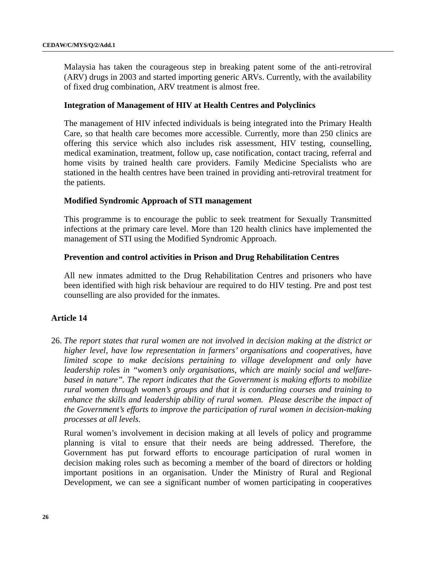Malaysia has taken the courageous step in breaking patent some of the anti-retroviral (ARV) drugs in 2003 and started importing generic ARVs. Currently, with the availability of fixed drug combination, ARV treatment is almost free.

#### **Integration of Management of HIV at Health Centres and Polyclinics**

The management of HIV infected individuals is being integrated into the Primary Health Care, so that health care becomes more accessible. Currently, more than 250 clinics are offering this service which also includes risk assessment, HIV testing, counselling, medical examination, treatment, follow up, case notification, contact tracing, referral and home visits by trained health care providers. Family Medicine Specialists who are stationed in the health centres have been trained in providing anti-retroviral treatment for the patients.

### **Modified Syndromic Approach of STI management**

This programme is to encourage the public to seek treatment for Sexually Transmitted infections at the primary care level. More than 120 health clinics have implemented the management of STI using the Modified Syndromic Approach.

### **Prevention and control activities in Prison and Drug Rehabilitation Centres**

All new inmates admitted to the Drug Rehabilitation Centres and prisoners who have been identified with high risk behaviour are required to do HIV testing. Pre and post test counselling are also provided for the inmates.

# **Article 14**

26. *The report states that rural women are not involved in decision making at the district or higher level, have low representation in farmers' organisations and cooperatives, have limited scope to make decisions pertaining to village development and only have leadership roles in "women's only organisations, which are mainly social and welfarebased in nature". The report indicates that the Government is making efforts to mobilize rural women through women's groups and that it is conducting courses and training to enhance the skills and leadership ability of rural women. Please describe the impact of the Government's efforts to improve the participation of rural women in decision-making processes at all levels.*

Rural women's involvement in decision making at all levels of policy and programme planning is vital to ensure that their needs are being addressed. Therefore, the Government has put forward efforts to encourage participation of rural women in decision making roles such as becoming a member of the board of directors or holding important positions in an organisation. Under the Ministry of Rural and Regional Development, we can see a significant number of women participating in cooperatives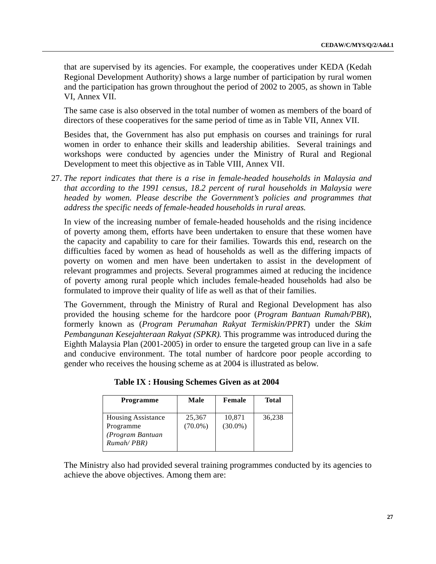that are supervised by its agencies. For example, the cooperatives under KEDA (Kedah Regional Development Authority) shows a large number of participation by rural women and the participation has grown throughout the period of 2002 to 2005, as shown in Table VI, Annex VII.

The same case is also observed in the total number of women as members of the board of directors of these cooperatives for the same period of time as in Table VII, Annex VII.

Besides that, the Government has also put emphasis on courses and trainings for rural women in order to enhance their skills and leadership abilities. Several trainings and workshops were conducted by agencies under the Ministry of Rural and Regional Development to meet this objective as in Table VIII, Annex VII.

27. *The report indicates that there is a rise in female-headed households in Malaysia and that according to the 1991 census, 18.2 percent of rural households in Malaysia were headed by women. Please describe the Government's policies and programmes that address the specific needs of female-headed households in rural areas.*

In view of the increasing number of female-headed households and the rising incidence of poverty among them, efforts have been undertaken to ensure that these women have the capacity and capability to care for their families. Towards this end, research on the difficulties faced by women as head of households as well as the differing impacts of poverty on women and men have been undertaken to assist in the development of relevant programmes and projects. Several programmes aimed at reducing the incidence of poverty among rural people which includes female-headed households had also be formulated to improve their quality of life as well as that of their families.

The Government, through the Ministry of Rural and Regional Development has also provided the housing scheme for the hardcore poor (*Program Bantuan Rumah/PBR*), formerly known as (*Program Perumahan Rakyat Termiskin/PPRT*) under the *Skim Pembangunan Kesejahteraan Rakyat (SPKR).* This programme was introduced during the Eighth Malaysia Plan (2001-2005) in order to ensure the targeted group can live in a safe and conducive environment. The total number of hardcore poor people according to gender who receives the housing scheme as at 2004 is illustrated as below.

| <b>Programme</b>                                                         | Male                 | Female               | Total  |
|--------------------------------------------------------------------------|----------------------|----------------------|--------|
| <b>Housing Assistance</b><br>Programme<br>(Program Bantuan<br>Rumah/PBR) | 25,367<br>$(70.0\%)$ | 10,871<br>$(30.0\%)$ | 36,238 |

 **Table IX : Housing Schemes Given as at 2004**

The Ministry also had provided several training programmes conducted by its agencies to achieve the above objectives. Among them are: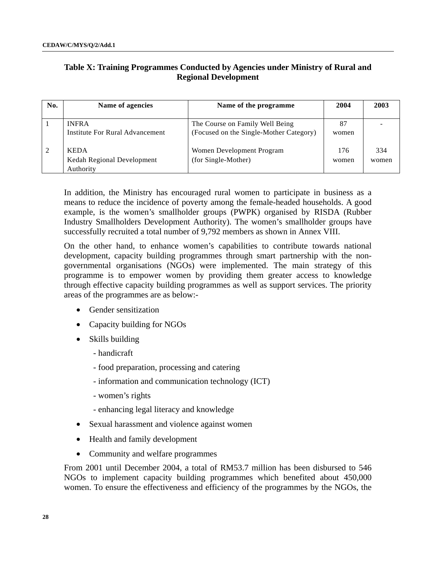# **Table X: Training Programmes Conducted by Agencies under Ministry of Rural and Regional Development**

| No. | Name of agencies                                       | Name of the programme                            |              | 2003         |
|-----|--------------------------------------------------------|--------------------------------------------------|--------------|--------------|
|     |                                                        |                                                  |              |              |
|     | <b>INFRA</b>                                           | The Course on Family Well Being                  | 87           |              |
|     | Institute For Rural Advancement                        | (Focused on the Single-Mother Category)          | women        |              |
|     | <b>KEDA</b><br>Kedah Regional Development<br>Authority | Women Development Program<br>(for Single-Mother) | 176<br>women | 334<br>women |

In addition, the Ministry has encouraged rural women to participate in business as a means to reduce the incidence of poverty among the female-headed households. A good example, is the women's smallholder groups (PWPK) organised by RISDA (Rubber Industry Smallholders Development Authority). The women's smallholder groups have successfully recruited a total number of 9,792 members as shown in Annex VIII.

On the other hand, to enhance women's capabilities to contribute towards national development, capacity building programmes through smart partnership with the nongovernmental organisations (NGOs) were implemented. The main strategy of this programme is to empower women by providing them greater access to knowledge through effective capacity building programmes as well as support services. The priority areas of the programmes are as below:-

- Gender sensitization
- Capacity building for NGOs
- Skills building
	- handicraft
	- food preparation, processing and catering
	- information and communication technology (ICT)
	- women's rights
	- enhancing legal literacy and knowledge
- Sexual harassment and violence against women
- Health and family development
- Community and welfare programmes

From 2001 until December 2004, a total of RM53.7 million has been disbursed to 546 NGOs to implement capacity building programmes which benefited about 450,000 women. To ensure the effectiveness and efficiency of the programmes by the NGOs, the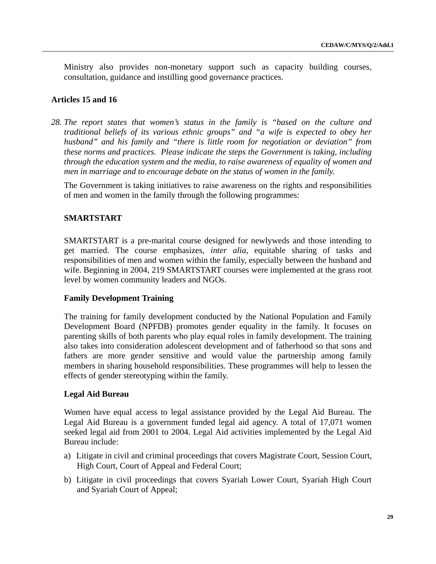Ministry also provides non-monetary support such as capacity building courses, consultation, guidance and instilling good governance practices.

### **Articles 15 and 16**

*28. The report states that women's status in the family is "based on the culture and traditional beliefs of its various ethnic groups" and "a wife is expected to obey her husband" and his family and "there is little room for negotiation or deviation" from these norms and practices. Please indicate the steps the Government is taking, including through the education system and the media, to raise awareness of equality of women and men in marriage and to encourage debate on the status of women in the family.*

The Government is taking initiatives to raise awareness on the rights and responsibilities of men and women in the family through the following programmes:

### **SMARTSTART**

SMARTSTART is a pre-marital course designed for newlyweds and those intending to get married. The course emphasizes, *inter alia*, equitable sharing of tasks and responsibilities of men and women within the family, especially between the husband and wife. Beginning in 2004, 219 SMARTSTART courses were implemented at the grass root level by women community leaders and NGOs.

#### **Family Development Training**

The training for family development conducted by the National Population and Family Development Board (NPFDB) promotes gender equality in the family. It focuses on parenting skills of both parents who play equal roles in family development. The training also takes into consideration adolescent development and of fatherhood so that sons and fathers are more gender sensitive and would value the partnership among family members in sharing household responsibilities. These programmes will help to lessen the effects of gender stereotyping within the family.

#### **Legal Aid Bureau**

Women have equal access to legal assistance provided by the Legal Aid Bureau. The Legal Aid Bureau is a government funded legal aid agency. A total of 17,071 women seeked legal aid from 2001 to 2004. Legal Aid activities implemented by the Legal Aid Bureau include:

- a) Litigate in civil and criminal proceedings that covers Magistrate Court, Session Court, High Court, Court of Appeal and Federal Court;
- b) Litigate in civil proceedings that covers Syariah Lower Court, Syariah High Court and Syariah Court of Appeal;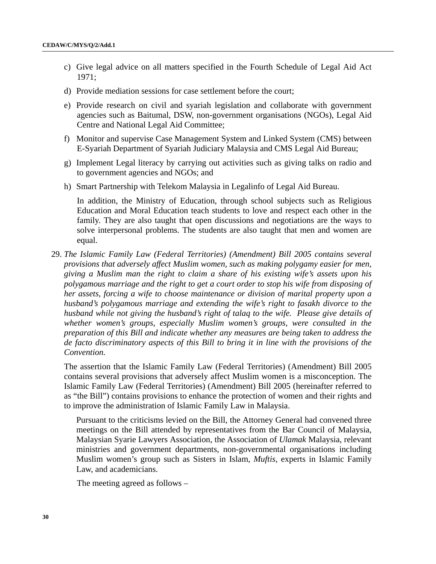- c) Give legal advice on all matters specified in the Fourth Schedule of Legal Aid Act 1971;
- d) Provide mediation sessions for case settlement before the court;
- e) Provide research on civil and syariah legislation and collaborate with government agencies such as Baitumal, DSW, non-government organisations (NGOs), Legal Aid Centre and National Legal Aid Committee;
- f) Monitor and supervise Case Management System and Linked System (CMS) between E-Syariah Department of Syariah Judiciary Malaysia and CMS Legal Aid Bureau;
- g) Implement Legal literacy by carrying out activities such as giving talks on radio and to government agencies and NGOs; and
- h) Smart Partnership with Telekom Malaysia in Legalinfo of Legal Aid Bureau.

In addition, the Ministry of Education, through school subjects such as Religious Education and Moral Education teach students to love and respect each other in the family. They are also taught that open discussions and negotiations are the ways to solve interpersonal problems. The students are also taught that men and women are equal.

29. *The Islamic Family Law (Federal Territories) (Amendment) Bill 2005 contains several provisions that adversely affect Muslim women, such as making polygamy easier for men, giving a Muslim man the right to claim a share of his existing wife's assets upon his polygamous marriage and the right to get a court order to stop his wife from disposing of her assets, forcing a wife to choose maintenance or division of marital property upon a husband's polygamous marriage and extending the wife's right to fasakh divorce to the husband while not giving the husband's right of talaq to the wife. Please give details of whether women's groups, especially Muslim women's groups, were consulted in the preparation of this Bill and indicate whether any measures are being taken to address the de facto discriminatory aspects of this Bill to bring it in line with the provisions of the Convention.*

The assertion that the Islamic Family Law (Federal Territories) (Amendment) Bill 2005 contains several provisions that adversely affect Muslim women is a misconception. The Islamic Family Law (Federal Territories) (Amendment) Bill 2005 (hereinafter referred to as "the Bill") contains provisions to enhance the protection of women and their rights and to improve the administration of Islamic Family Law in Malaysia.

Pursuant to the criticisms levied on the Bill, the Attorney General had convened three meetings on the Bill attended by representatives from the Bar Council of Malaysia, Malaysian Syarie Lawyers Association, the Association of *Ulamak* Malaysia, relevant ministries and government departments, non-governmental organisations including Muslim women's group such as Sisters in Islam, *Muftis,* experts in Islamic Family Law, and academicians.

The meeting agreed as follows –